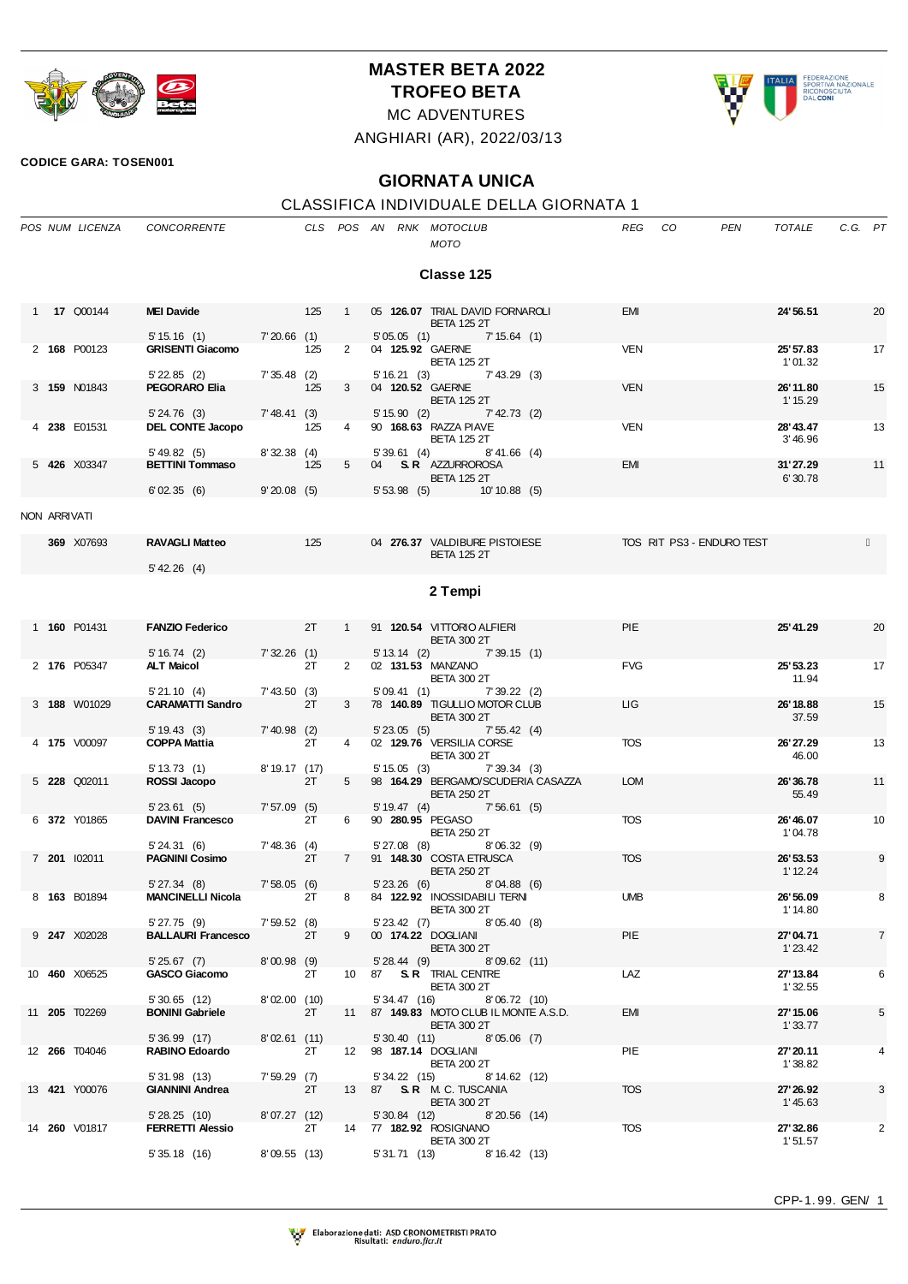

## **MASTER BETA 2022 TROFEO BETA**

ALIA FEDERAZIONE<br>SPORTIVA NAZIONALE<br>RICONOSCIUTA<br>DAL CONI

## MC ADVENTURES ANGHIARI (AR), 2022/03/13

**CODICE GARA: TOSEN001**

## **GIORNATA UNICA**

## CLASSIFICA INDIVIDUALE DELLA GIORNATA 1

|              | POS NUM LICENZA      | CONCORRENTE                                                           |                                |     |                 |                | CLS POS AN RNK MOTOCLUB<br>MOTO                                                                             | <b>REG</b> | CO<br><b>PEN</b>          | TOTALE                | C.G. PT |                |
|--------------|----------------------|-----------------------------------------------------------------------|--------------------------------|-----|-----------------|----------------|-------------------------------------------------------------------------------------------------------------|------------|---------------------------|-----------------------|---------|----------------|
|              |                      |                                                                       |                                |     |                 |                | Classe 125                                                                                                  |            |                           |                       |         |                |
|              | 1 <b>17 Q00144</b>   | MEI Davide 125                                                        |                                |     | $\mathbf{1}$    |                | 05 126.07 TRIAL DAVID FORNAROLI<br><b>BETA 125 2T</b>                                                       | <b>EMI</b> |                           | 24'56.51              |         | 20             |
|              | 2 168 P00123         | $5' 15.16$ (1)<br><b>GRISENTI Giacomo</b><br>$5'$ 22.85 (2)           | 7'20.66(1)<br>7'35.48(2)       | 125 | $2^{\circ}$     |                | $5'05.05(1)$ $7'15.64(1)$<br>04 125.92 GAERNE<br><b>BETA 125 2T</b><br>5' 16.21 (3) 7' 43.29 (3)            | <b>VEN</b> |                           | 25' 57.83<br>1'01.32  |         | 17             |
|              | 3 159 N01843         | PEGORARO Elia<br>5' 24.76 (3)                                         | 7' 48.41 (3)                   | 125 | 3 <sup>7</sup>  |                | 04 120.52 GAERNE<br><b>BETA 125 2T</b><br>$5'15.90$ (2) $7'42.73$ (2)                                       | <b>VEN</b> |                           | 26'11.80<br>1' 15.29  |         | 15             |
|              | 4 238 E01531         | DEL CONTE Jacopo<br>5' 49.82(5)                                       | 8'32.38(4)                     | 125 | $4\overline{ }$ |                | 90 168.63 RAZZA PIAVE<br><b>BETA 125 2T</b><br>$5'39.61$ (4) $8'41.66$ (4)                                  | <b>VEN</b> |                           | 28' 43.47<br>3'46.96  |         | 13             |
|              | 5 426 X03347         | <b>BETTINI Tommaso</b><br>$6'02.35(6)$ 9'20.08 (5)                    | 125                            |     | 5 <sub>1</sub>  |                | 04 S.R. AZZURROROSA<br><b>BETA 125 2T</b><br>$5'53.98$ (5) $10'10.88$ (5)                                   | <b>EMI</b> |                           | 31'27.29<br>6'30.78   |         | 11             |
| NON ARRIVATI |                      |                                                                       |                                |     |                 |                |                                                                                                             |            |                           |                       |         |                |
|              | 369 X07693           | <b>RAVAGLI Matteo</b><br>$5'$ 42.26 (4)                               | $\sim$ 125                     |     |                 |                | 04 276.37 VALDIBURE PISTOIESE<br><b>BETA 125 2T</b>                                                         |            | TOS RIT PS3 - ENDURO TEST |                       |         |                |
|              |                      |                                                                       |                                |     |                 |                | 2 Tempi                                                                                                     |            |                           |                       |         |                |
|              | 1 160 P01431         | <b>FANZIO Federico</b>                                                | 2T                             |     |                 |                | 1 91 120.54 VITTORIO ALFIERI<br><b>BETA 300 2T</b>                                                          | <b>PIE</b> |                           | 25' 41.29             |         | 20             |
|              | 2 176 P05347         | 5' 16.74 (2) 7' 32.26 (1)<br><b>ALT Maicol</b>                        |                                | 2T  | $\mathbf{2}$    |                | $5'13.14$ (2) $7'39.15$ (1)<br>02 131.53 MANZANO<br><b>BETA 300 2T</b>                                      | <b>FVG</b> |                           | 25' 53.23<br>11.94    |         | 17             |
|              | 3 188 W01029         | 5'21.10(4)<br><b>CARAMATTI Sandro</b> 2T                              | 7' 43.50 (3)<br>$7' 40.98$ (2) |     | $3^{\circ}$     |                | 5'09.41 (1) 7'39.22 (2)<br>78 140.89 TIGULLIO MOTOR CLUB<br><b>BETA 300 2T</b><br>5' 23.05 (5) 7' 55.42 (4) | LIG.       |                           | 26' 18.88<br>37.59    |         | 15             |
|              | 4 175 V00097         | $5' 19.43$ (3)<br><b>COPPA Mattia</b><br>5' 13.73 (1)                 | 8' 19.17 (17)                  | 2T  |                 |                | 02 129.76 VERSILIA CORSE<br><b>BETA 300 2T</b><br>$5' 15.05$ (3)<br>7'39.34(3)                              | <b>TOS</b> |                           | 26'27.29<br>46.00     |         | 13             |
|              | 5 228 Q02011         | ROSSI Jacopo<br>5' 23.61 (5) 7' 57.09 (5)                             |                                | 2T  | 5 <sub>5</sub>  | 5'19.47(4)     | 98 164.29 BERGAMO/SCUDERIA CASAZZA<br><b>BETA 250 2T</b><br>7'56.61 (5)                                     | <b>LOM</b> |                           | 26'36.78<br>55.49     |         | 11             |
|              | 6 372 Y01865         | <b>DAVINI Francesco</b><br>5'24.31(6)                                 | $7' 48.36$ (4)                 | 2T  | 6               | 5'27.08 (8)    | 90 280.95 PEGASO<br><b>BETA 250 2T</b><br>8'06.32(9)                                                        | <b>TOS</b> |                           | 26' 46.07<br>1'04.78  |         | 10             |
|              | 7 201 102011         | <b>PAGNINI Cosimo</b><br>5'27.34(8)                                   | 7'58.05(6)                     | 2T  | 7               |                | 91 148.30 COSTA ETRUSCA<br><b>BETA 250 2T</b><br>5'23.26(6)<br>8'04.88(6)                                   | <b>TOS</b> |                           | 26' 53.53<br>1'12.24  |         | 9              |
|              | 8 163 B01894         | MANCINELLI Nicola 2T 8 84 122.92 INOSSIDABILI TERNI<br>$5'$ 27.75 (9) | 7'59.52(8)                     |     |                 |                | <b>BETA 300 2T</b><br>5'23.42 (7) 8'05.40 (8)                                                               | <b>UMB</b> |                           | 26' 56.09<br>1' 14.80 |         |                |
|              | 9 247 X02028         | <b>BALLAURI Francesco</b><br>5'25.67(7)                               | 8'00.98(9)                     | 2T  | 9               |                | 00 174.22 DOGLIANI<br><b>BETA 300 2T</b><br>$5'28.44$ (9) $8'09.62$ (11)                                    | PIE        |                           | 27'04.71<br>1'23.42   |         | $\overline{7}$ |
|              | 10 460 X06525        | <b>GASCO Giacomo</b><br>5'30.65 (12)                                  | 8'02.00(10)                    | 2T  |                 | 5' 34.47 (16)  | 10 87 S.R. TRIAL CENTRE<br><b>BETA 300 2T</b><br>8'06.72(10)                                                | LAZ        |                           | 27' 13.84<br>1'32.55  |         | 6              |
|              | 11 <b>205</b> T02269 | <b>BONINI Gabriele</b><br>5' 36.99 (17)                               | 8'02.61(11)                    | 2T  |                 | 5' 30.40 (11)  | 11 87 149.83 MOTO CLUB IL MONTE A.S.D.<br><b>BETA 300 2T</b><br>8'05.06(7)                                  | EMI        |                           | 27' 15.06<br>1'33.77  |         | 5              |
|              | 12 <b>266</b> T04046 | <b>RABINO Edoardo</b><br>5'31.98 (13)                                 | 7'59.29(7)                     | 2T  |                 | 5' 34.22 (15)  | 12 98 187.14 DOGLIANI<br><b>BETA 200 2T</b><br>8'14.62(12)                                                  | PIE        |                           | 27' 20.11<br>1'38.82  |         | 4              |
|              | 13 421 Y00076        | <b>GIANNINI Andrea</b><br>5'28.25(10)                                 | 8'07.27(12)                    | 2T  |                 | $5'30.84$ (12) | 13 87 S.R. M.C. TUSCANIA<br><b>BETA 300 2T</b><br>8'20.56(14)                                               | <b>TOS</b> |                           | 27' 26.92<br>1'45.63  |         | 3              |
|              | 14 260 V01817        | <b>FERRETTI Alessio</b><br>5'35.18(16)                                | 8'09.55(13)                    | 2T  |                 | 5' 31.71 (13)  | 14 77 182.92 ROSIGNANO<br><b>BETA 300 2T</b><br>8' 16.42 (13)                                               | <b>TOS</b> |                           | 27' 32.86<br>1'51.57  |         | $\overline{2}$ |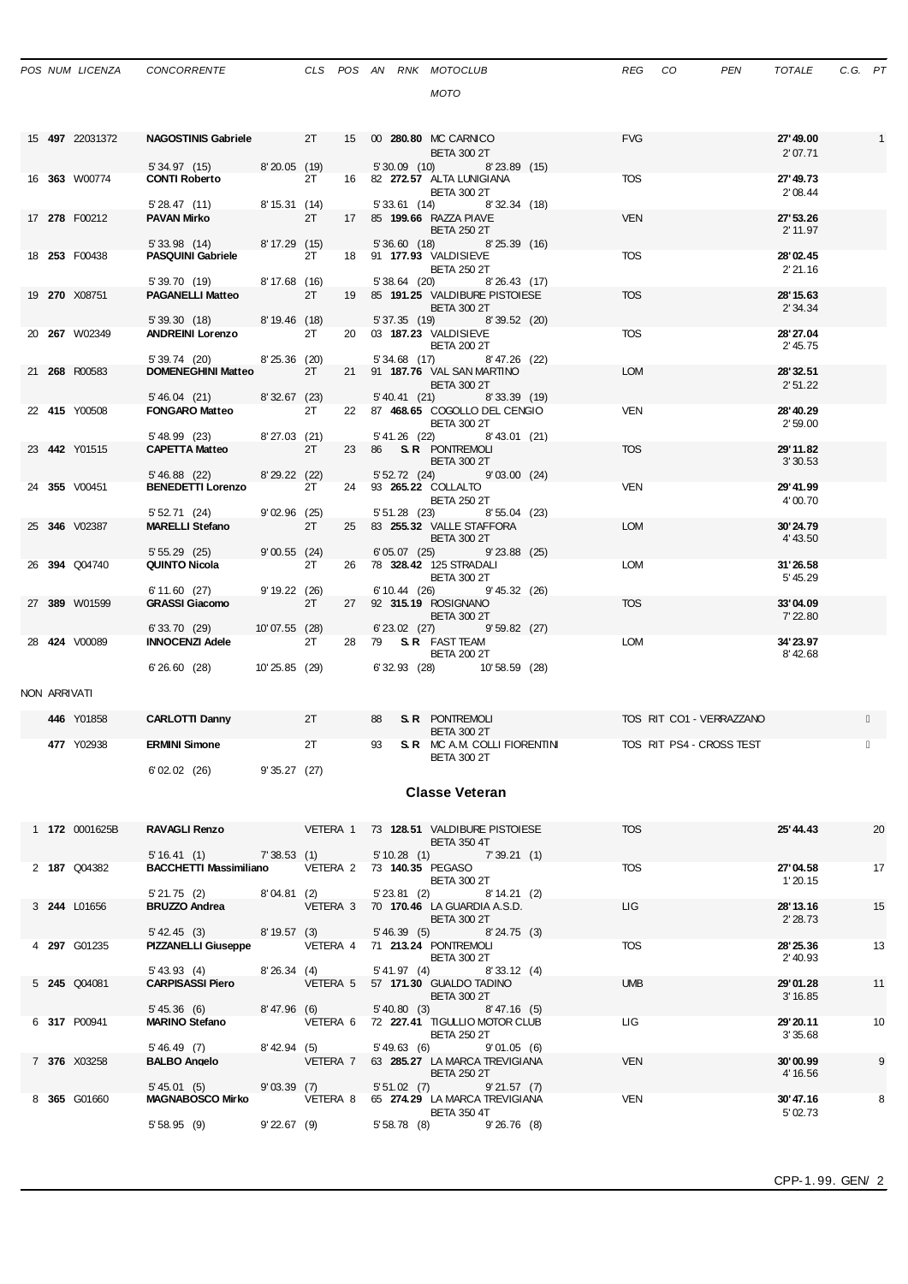|  | POS NUM LICENZA |          |
|--|-----------------|----------|
|  |                 | CONCORRE |

*MOTO*

|              | 15 497 22031372      | NAGOSTINIS Gabriele 2T                                                                            |                   |            |                  | 15 00 <b>280.80 MC CARNICO</b><br><b>BETA 300 2T</b>                       | <b>FVG</b>               | 27'49.00<br>2'07.71   | $\overline{1}$ |
|--------------|----------------------|---------------------------------------------------------------------------------------------------|-------------------|------------|------------------|----------------------------------------------------------------------------|--------------------------|-----------------------|----------------|
|              | 16 363 W00774        | 5' 34.97 (15) 8' 20.05 (19)<br><b>CONTI Roberto</b>                                               |                   | 2T         |                  | 5'30.09 (10) 8'23.89 (15)<br>16 82 <b>272.57</b> ALTA LUNIGIANA            | <b>TOS</b>               | 27'49.73              |                |
|              |                      | 5' 28.47 (11)                                                                                     | 8' 15.31 (14)     |            |                  | <b>BETA 300 2T</b><br>5' 33.61 (14) 8' 32.34 (18)                          |                          | 2'08.44               |                |
|              | 17 278 F00212        | PAVAN Mirko                                                                                       |                   | 2T         |                  | 17 85 <b>199.66</b> RAZZA PIAVE<br><b>BETA 250 2T</b>                      | <b>VEN</b>               | 27' 53.26<br>2' 11.97 |                |
|              |                      | 5' 33.98 (14) 8' 17.29 (15)                                                                       |                   |            |                  | 5'36.60 (18) 8'25.39 (16)                                                  |                          |                       |                |
|              | 18 253 F00438        | <b>PASQUINI Gabriele</b><br>5'39.70 (19) 8'17.68 (16)                                             |                   | 2T         |                  | 18 91 177.93 VALDISIEVE<br><b>BETA 250 2T</b><br>5'38.64 (20) 8'26.43 (17) | TOS                      | 28'02.45<br>2'21.16   |                |
|              | 19 270 X08751        | <b>PAGANELLI Matteo</b>                                                                           |                   | 2T         |                  | 19 85 191.25 VALDIBURE PISTOIESE<br><b>BETA 300 2T</b>                     | <b>TOS</b>               | 28' 15.63<br>2' 34.34 |                |
|              |                      | 5' 39.30 (18) 8' 19.46 (18)                                                                       |                   |            |                  | 5' 37.35 (19) 8' 39.52 (20)                                                |                          |                       |                |
|              | 20 <b>267</b> W02349 | <b>ANDREINI Lorenzo</b>                                                                           |                   | 2T         |                  | 20 03 187.23 VALDISIEVE<br><b>BETA 200 2T</b>                              | <b>TOS</b>               | 28' 27.04<br>2' 45.75 |                |
|              | 21 268 R00583        | 5' 39.74 (20) 8' 25.36 (20)<br>DOMENEGHINI Matteo 2T                                              |                   |            |                  | 5' 34.68 (17) 8' 47.26 (22)<br>21 91 187.76 VAL SAN MARTINO                | <b>LOM</b>               | 28' 32.51             |                |
|              |                      |                                                                                                   |                   |            |                  | <b>BETA 300 2T</b>                                                         |                          | 2'51.22               |                |
|              |                      | 5' 46.04 (21) 8' 32.67 (23)                                                                       |                   |            |                  | 5' 40.41 (21) 8' 33.39 (19)                                                |                          |                       |                |
|              | 22 415 Y00508        | <b>FONGARO Matteo</b>                                                                             |                   | 2T         |                  | 22 87 468.65 COGOLLO DEL CENGIO<br><b>BETA 300 2T</b>                      | <b>VEN</b>               | 28' 40.29<br>2'59.00  |                |
|              |                      | 5' 48.99 (23) 8' 27.03 (21)<br>CAPETTA Matteo 2T                                                  |                   |            |                  | 5' 41.26 (22) 8' 43.01 (21)                                                |                          |                       |                |
|              | 23 442 Y01515        |                                                                                                   |                   |            |                  | 23 86 S.R. PONTREMOLI<br><b>BETA 300 2T</b>                                | <b>TOS</b>               | 29'11.82<br>3'30.53   |                |
|              | 24 355 V00451        | 5' 46.88 (22) 8' 29.22 (22)<br><b>BENEDETTI Lorenzo</b>                                           |                   | 2T         |                  | 5' 52.72 (24) 9' 03.00 (24)<br>24 93 265.22 COLLALTO                       | VEN                      | 29'41.99              |                |
|              |                      |                                                                                                   |                   |            |                  | <b>BETA 250 2T</b>                                                         |                          | 4'00.70               |                |
|              | 25 346 V02387        | 5' 52.71 (24)<br><b>MARELLI Stefano</b>                                                           | 9'02.96(25)       |            |                  | 5' 51.28 (23) 8' 55.04 (23)<br>25 83 255.32 VALLE STAFFORA                 | <b>LOM</b>               | 30'24.79              |                |
|              |                      | 5'55.29(25)                                                                                       | 2T<br>9'00.55(24) |            |                  | <b>BETA 300 2T</b><br>6'05.07 (25) 9'23.88 (25)                            |                          | 4' 43.50              |                |
|              | 26 394 Q04740        | QUINTO Nicola                                                                                     |                   | 2T         |                  | 26 78 328.42 125 STRADALI                                                  | <b>LOM</b>               | 31'26.58              |                |
|              |                      |                                                                                                   |                   |            |                  | BETA 300 2T                                                                |                          | 5' 45.29              |                |
|              | 27 389 W01599        | 6'11.60(27)<br><b>GRASSI Giacomo</b>                                                              | 9' 19.22 (26)     | 2T         |                  | 6' 10.44 (26) 9' 45.32 (26)<br>27 92 315.19 ROSIGNANO                      | <b>TOS</b>               | 33'04.09              |                |
|              |                      |                                                                                                   |                   |            |                  | <b>BETA 300 2T</b>                                                         |                          | 7' 22.80              |                |
|              | 28 424 V00089        | 6' 33.70 (29) 10' 07.55 (28)<br><b>INNOCENZI Adele</b>                                            |                   | 2T         |                  | 6'23.02 (27) 9'59.82 (27)<br>28 79 S.R. FAST TEAM                          | <b>LOM</b>               | 34'23.97              |                |
|              |                      |                                                                                                   |                   |            |                  | <b>BETA 200 2T</b>                                                         |                          | 8'42.68               |                |
|              |                      | 6'26.60 (28) 10'25.85 (29)                                                                        |                   |            |                  | 6' 32.93 (28) 10' 58.59 (28)                                               |                          |                       |                |
| NON ARRIVATI |                      |                                                                                                   |                   |            |                  |                                                                            |                          |                       |                |
|              | 446 Y01858           | <b>CARLOTTI Danny</b>                                                                             |                   | 2T         | 88               | <b>S. R. PONTREMOLI</b><br><b>BETA 300 2T</b>                              | TOS RIT CO1 - VERRAZZANO |                       |                |
|              | 477 Y02938           | <b>ERMINI Simone</b>                                                                              |                   | 2T         | 93               | <b>S. R</b> MC A.M. COLLI FIORENTINI                                       | TOS RIT PS4 - CROSS TEST |                       |                |
|              |                      | 6'02.02 (26) 9'35.27 (27)                                                                         |                   |            |                  | <b>BETA 300 2T</b>                                                         |                          |                       |                |
|              |                      |                                                                                                   |                   |            |                  | <b>Classe Veteran</b>                                                      |                          |                       |                |
|              | 1 172 0001625B       | RAVAGLI Renzo VETERA 1 73 128.51 VALDIBURE PISTOIESE                                              |                   |            |                  |                                                                            | <b>TOS</b>               | 25' 44.43             | 20             |
|              |                      | 5' 16.41 (1) 7' 38.53 (1)                                                                         |                   |            |                  | <b>BETA 350 4T</b><br>5' 10.28 (1) 7' 39.21 (1)                            |                          |                       |                |
|              | 2 187 Q04382         | BACCHETTI Massimiliano VETERA 2 73 140.35 PEGASO                                                  |                   |            |                  | <b>BETA 300 2T</b>                                                         | <b>TOS</b>               | 27'04.58<br>1'20.15   | 17             |
|              |                      | $5'21.75$ (2) $8'04.81$ (2)                                                                       |                   |            | $5'$ 23.81 $(2)$ | 8'14.21(2)                                                                 |                          |                       |                |
|              | 3 244 L01656         | <b>BRUZZO Andrea</b>                                                                              |                   |            |                  | VETERA 3 70 170.46 LA GUARDIA A.S.D.<br><b>BETA 300 2T</b>                 | <b>LIG</b>               | 28'13.16<br>2' 28.73  | 15             |
|              | 4 297 G01235         | $5'$ 42.45 (3)<br>PIZZANELLI Giuseppe VETERA 4 71 213.24 PONTREMOLI                               | 8' 19.57 (3)      |            |                  | 5' 46.39 (5) 8' 24.75 (3)                                                  | <b>TOS</b>               | 28'25.36              | 13             |
|              |                      | 5' 43.93 (4)                                                                                      |                   | 8'26.34(4) |                  | <b>BETA 300 2T</b><br>5'41.97 (4) 8'33.12 (4)                              |                          | 2' 40.93              |                |
|              | 5 245 Q04081         | <b>CARPISASSI Piero</b>                                                                           |                   |            |                  | VETERA 5 57 171.30 GUALDO TADINO                                           | <b>UMB</b>               | 29'01.28              | 11             |
|              |                      |                                                                                                   |                   |            |                  | <b>BETA 300 2T</b>                                                         |                          | 3' 16.85              |                |
|              | 6 317 P00941         | 5' 45.36(6)<br><b>MARINO Stefano</b>                                                              |                   | 8'47.96(6) |                  | $5'40.80$ (3) $8'47.16$ (5)<br>VETERA 6 72 227.41 TIGULLIO MOTOR CLUB      | ЦG                       | 29' 20.11             | 10             |
|              |                      |                                                                                                   |                   |            |                  | <b>BETA 250 2T</b>                                                         |                          | 3'35.68               |                |
|              | 7 376 X03258         | 5' 46.49 (7)<br><b>BALBO Angelo</b>                                                               | 8'42.94 (5)       |            | 5'49.63(6)       | 9'01.05(6)<br>VETERA 7 63 285.27 LA MARCA TREVIGIANA                       | <b>VEN</b>               | 30'00.99              | 9              |
|              |                      |                                                                                                   |                   |            |                  | <b>BETA 250 2T</b>                                                         |                          | 4' 16.56              |                |
|              | 8 365 G01660         | 5' 45.01 (5) 9' 03.39 (7) 5' 51.02 (7)<br>MAGNABOSCO Mirko VETERA 8 65 274.29 LA MARCA TREVIGIANA |                   |            |                  | 9'21.57(7)                                                                 | <b>VEN</b>               | 30'47.16              | 8              |
|              |                      |                                                                                                   |                   |            |                  |                                                                            |                          |                       |                |

5' 58.95 (9) 9' 22.67 (9) 5' 58.78 (8) 9' 26.76 (8)

**BETA 350 4T**  $\qquad \qquad$  5' 02.73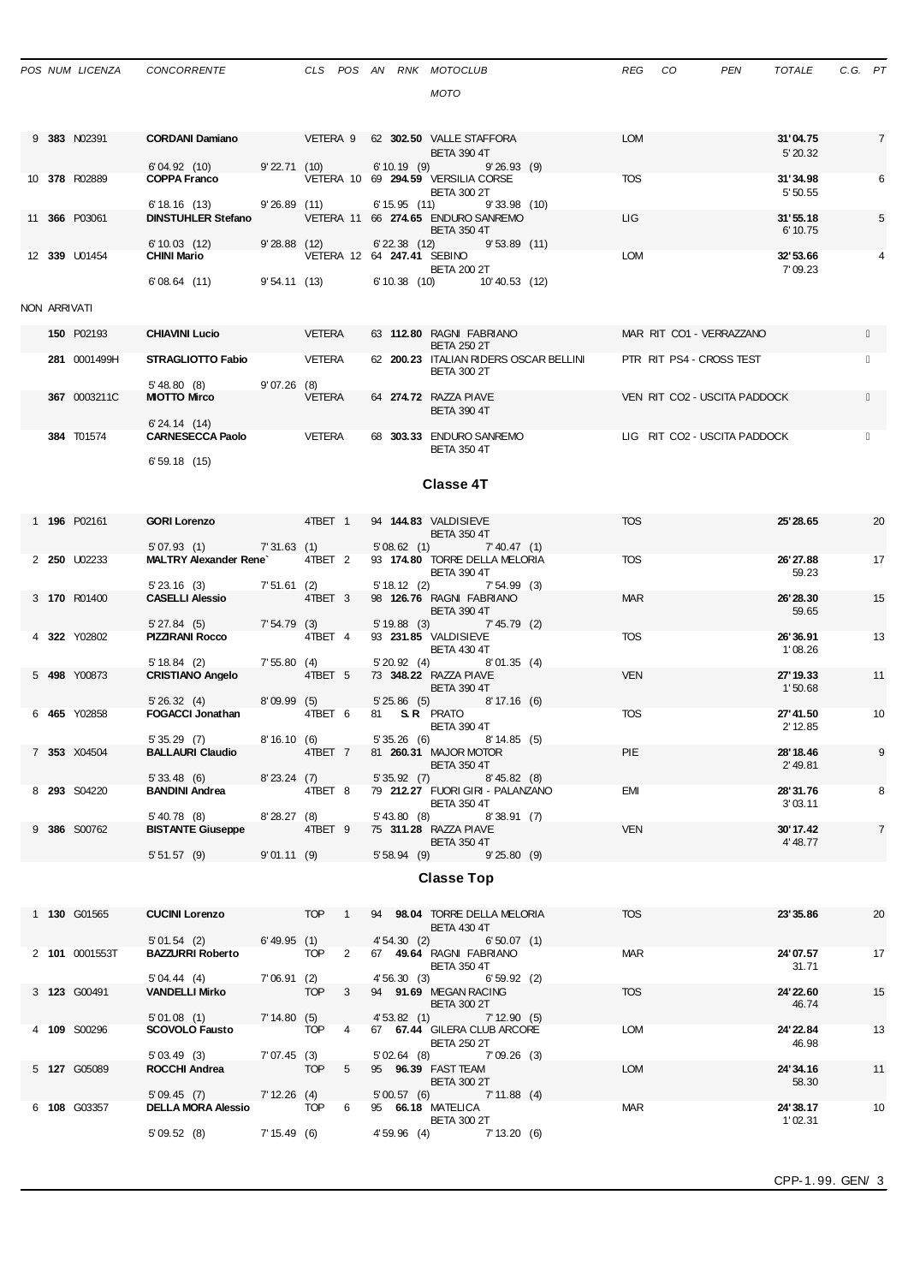|              | POS NUM LICENZA | CONCORRENTE                                                  |                   |               |                |               | CLS POS AN RNK MOTOCLUB                                                                    | <b>REG</b> | CO                           | <b>PEN</b> | <b>TOTALE</b>        | C.G. PT |                |
|--------------|-----------------|--------------------------------------------------------------|-------------------|---------------|----------------|---------------|--------------------------------------------------------------------------------------------|------------|------------------------------|------------|----------------------|---------|----------------|
|              |                 |                                                              |                   |               |                |               | <b>MOTO</b>                                                                                |            |                              |            |                      |         |                |
|              |                 |                                                              |                   |               |                |               |                                                                                            |            |                              |            |                      |         |                |
|              | 9 383 N02391    | CORDANI Damiano VETERA 9 62 302.50 VALLE STAFFORA            |                   |               |                |               | <b>BETA 390 4T</b>                                                                         | <b>LOM</b> |                              |            | 31'04.75<br>5' 20.32 |         | $\overline{7}$ |
|              | 10 378 R02889   | 6'04.92 (10)<br><b>COPPA Franco</b>                          | $9'$ 22.71 $(10)$ |               |                |               | $6' 10.19$ (9)<br>9'26.93(9)<br>VETERA 10 69 294.59 VERSILIA CORSE                         | TOS        |                              |            | 31'34.98             |         | 6              |
|              |                 |                                                              |                   |               |                |               | <b>BETA 300 2T</b>                                                                         |            |                              |            | 5'50.55              |         |                |
|              | 11 366 P03061   | 6'18.16(13)<br><b>DINSTUHLER Stefano</b>                     | $9'26.89$ (11)    |               |                |               | $6' 15.95$ (11)<br>9'33.98(10)<br>VETERA 11 66 274.65 ENDURO SANREMO<br><b>BETA 350 4T</b> | LIG.       |                              |            | 31'55.18<br>6' 10.75 |         | 5              |
|              | 12 339 U01454   | 6'10.03(12)<br><b>CHINI Mario</b>                            | 9'28.88(12)       |               |                |               | 6'22.38 (12) 9'53.89 (11)<br>VETERA 12 64 247.41 SEBINO                                    | <b>LOM</b> |                              |            | 32'53.66             |         | 4              |
|              |                 | 6'08.64(11)                                                  | 9'54.11(13)       |               |                |               | <b>BETA 200 2T</b><br>$6' 10.38$ (10)<br>10'40.53 (12)                                     |            |                              |            | 7'09.23              |         |                |
|              |                 |                                                              |                   |               |                |               |                                                                                            |            |                              |            |                      |         |                |
| NON ARRIVATI |                 |                                                              |                   |               |                |               |                                                                                            |            |                              |            |                      |         |                |
|              | 150 P02193      | <b>CHIAVINI Lucio</b>                                        |                   | VETERA        |                |               | 63 112.80 RAGNI FABRIANO<br><b>BETA 250 2T</b>                                             |            | MAR RIT CO1 - VERRAZZANO     |            |                      |         |                |
|              | 281 0001499H    | STRAGLIOTTO Fabio<br>5'48.80 (8)                             | 9'07.26(8)        | VETERA        |                |               | 62 200.23 ITALIAN RIDERS OSCAR BELLINI<br><b>BETA 300 2T</b>                               |            | PTR RIT PS4 - CROSS TEST     |            |                      |         |                |
|              | 367 0003211C    | <b>MIOTTO Mirco</b>                                          |                   | <b>VETERA</b> |                |               | 64 274.72 RAZZA PIAVE                                                                      |            | VEN RIT CO2 - USCITA PADDOCK |            |                      |         |                |
|              |                 | 6'24.14(14)                                                  |                   |               |                |               | <b>BETA 390 4T</b>                                                                         |            |                              |            |                      |         |                |
|              | 384 T01574      | <b>CARNESECCA Paolo</b>                                      |                   | VETERA        |                |               | 68 303.33 ENDURO SANREMO<br><b>BETA 350 4T</b>                                             |            | LIG RIT CO2 - USCITA PADDOCK |            |                      |         |                |
|              |                 | 6'59.18(15)                                                  |                   |               |                |               |                                                                                            |            |                              |            |                      |         |                |
|              |                 |                                                              |                   |               |                |               | <b>Classe 4T</b>                                                                           |            |                              |            |                      |         |                |
|              | 1 196 P02161    | <b>GORI Lorenzo</b>                                          |                   | 4TBET 1       |                |               | 94 144.83 VALDISIEVE                                                                       | <b>TOS</b> |                              |            | 25' 28.65            |         | 20             |
|              |                 | 5' 07.93 (1) 7' 31.63 (1)                                    |                   |               |                |               | <b>BETA 350 4T</b><br>$5'08.62$ (1) $7'40.47$ (1)                                          |            |                              |            |                      |         |                |
|              | 2 250 U02233    | <b>MALTRY Alexander Rene</b>                                 |                   | 4TBET 2       |                |               | 93 174.80 TORRE DELLA MELORIA<br><b>BETA 390 4T</b>                                        | <b>TOS</b> |                              |            | 26' 27.88<br>59.23   |         | 17             |
|              | 3 170 R01400    | 5'23.16(3)<br><b>CASELLI Alessio</b>                         | 7'51.61 (2)       | 4TBET 3       |                | 5' 18.12 (2)  | 7'54.99(3)<br>98 126.76 RAGNI FABRIANO                                                     | <b>MAR</b> |                              |            | 26' 28.30            |         | 15             |
|              |                 | 5'27.84(5)                                                   | 7'54.79(3)        |               |                |               | <b>BETA 390 4T</b><br>5' 19.88 (3) 7' 45.79 (2)                                            |            |                              |            | 59.65                |         |                |
|              | 4 322 Y02802    | PIZZIRANI Rocco                                              |                   | 4TBET 4       |                |               | 93 231.85 VALDISIEVE<br><b>BETA 430 4T</b>                                                 | <b>TOS</b> |                              |            | 26'36.91<br>1'08.26  |         | 13             |
|              | 5 498 Y00873    | 5' 18.84 (2)<br><b>CRISTIANO Angelo</b>                      | 7'55.80(4)        | 4TBET 5       |                |               | $5'20.92$ (4) $8'01.35$ (4)<br>73 348.22 RAZZA PIAVE                                       | <b>VEN</b> |                              |            | 27' 19.33            |         | 11             |
|              |                 |                                                              | 8'09.99 (5)       |               |                |               | <b>BETA 390 4T</b>                                                                         |            |                              |            | 1'50.68              |         |                |
|              | 6 465 Y02858    | 5'26.32(4)<br><b>FOGACCI Jonathan</b>                        |                   | 4TBET 6       |                |               | 5'25.86 (5) 8'17.16 (6)<br>81 <b>S.R.</b> PRATO                                            | <b>TOS</b> |                              |            | 27' 41.50            |         | 10             |
|              |                 | 5'35.29(7)                                                   | 8'16.10(6)        |               |                |               | <b>BETA 390 4T</b><br>5'35.26(6)<br>8'14.85(5)                                             |            |                              |            | 2' 12.85             |         |                |
|              | 7 353 X04504    | <b>BALLAURI Claudio</b>                                      |                   | 4TBET 7       |                |               | 81 260.31 MAJOR MOTOR<br><b>BETA 350 4T</b>                                                | PIE        |                              |            | 28' 18.46<br>2'49.81 |         | 9              |
|              | 8 293 S04220    | 5' 33.48 (6) 8' 23.24 (7)<br><b>BANDINI Andrea</b>           |                   | 4TBET 8       |                | 5' 35.92 (7)  | 8'45.82(8)<br>79 212.27 FUORI GIRI - PALANZANO                                             | EMI        |                              |            | 28'31.76             |         | 8              |
|              |                 |                                                              |                   |               |                |               | <b>BETA 350 4T</b>                                                                         |            |                              |            | 3'03.11              |         |                |
|              | 9 386 S00762    | $5' 40.78$ (8)<br><b>BISTANTE Giuseppe</b>                   | 8'28.27(8)        | 4TBET 9       |                | 5'43.80 (8)   | 8'38.91 (7)<br>75 311.28 RAZZA PIAVE                                                       | <b>VEN</b> |                              |            | 30'17.42             |         | $\overline{7}$ |
|              |                 | $5'51.57$ (9) $9'01.11$ (9)                                  |                   |               |                |               | <b>BETA 350 4T</b><br>5' 58.94 (9) 9' 25.80 (9)                                            |            |                              |            | 4' 48.77             |         |                |
|              |                 |                                                              |                   |               |                |               | <b>Classe Top</b>                                                                          |            |                              |            |                      |         |                |
|              |                 |                                                              |                   |               |                |               |                                                                                            |            |                              |            |                      |         |                |
|              | 1 130 G01565    | <b>CUCINI Lorenzo</b>                                        | TOP 1             |               |                |               | 94 98.04 TORRE DELLA MELORIA<br><b>BETA 430 4T</b>                                         | <b>TOS</b> |                              |            | 23' 35.86            |         | 20             |
|              | 2 101 0001553T  | 5'01.54(2)<br><b>BAZZURRI Roberto</b>                        | 6' 49.95 (1)      | <b>TOP</b>    | $\overline{2}$ | 4'54.30(2)    | 6'50.07(1)<br>67 49.64 RAGNI FABRIANO                                                      | <b>MAR</b> |                              |            | 24'07.57             |         | 17             |
|              |                 | 5'04.44 (4)                                                  | 7'06.91(2)        |               |                | 4' 56.30 (3)  | <b>BETA 350 4T</b><br>6'59.92(2)                                                           |            |                              |            | 31.71                |         |                |
|              | 3 123 G00491    | <b>VANDELLI Mirko</b>                                        |                   | <b>TOP</b>    | 3              |               | 94 91.69 MEGAN RACING<br><b>BETA 300 2T</b>                                                | <b>TOS</b> |                              |            | 24' 22.60<br>46.74   |         | 15             |
|              | 4 109 S00296    | 5'01.08(1)<br><b>SCOVOLO Fausto</b>                          | 7' 14.80(5)       | <b>TOP</b>    | $\overline{4}$ |               | 4' 53.82 (1) 7' 12.90 (5)<br>67 67.44 GILERA CLUB ARCORE<br><b>BETA 250 2T</b>             | <b>LOM</b> |                              |            | 24' 22.84<br>46.98   |         | 13             |
|              | 5 127 G05089    | 5'03.49(3)<br>ROCCHI Andrea                                  | 7'07.45(3)        | <b>TOP</b>    | 5              | $5'02.64$ (8) | 7'09.26 (3)<br>95 96.39 FAST TEAM                                                          | <b>LOM</b> |                              |            | 24'34.16             |         | 11             |
|              |                 |                                                              |                   |               |                |               | <b>BETA 300 2T</b>                                                                         |            |                              |            | 58.30                |         |                |
|              | 6 108 G03357    | $5'09.45$ (7) $7'12.26$ (4)<br><b>DELLA MORA Alessio TOP</b> |                   |               | 6              |               | $5'00.57$ (6) $7'11.88$ (4)<br>95 66.18 MATELICA                                           | MAR        |                              |            | 24'38.17             |         | 10             |
|              |                 | 5'09.52(8)                                                   | 7' 15.49 (6)      |               |                | 4'59.96(4)    | <b>BETA 300 2T</b><br>7' 13.20 (6)                                                         |            |                              |            | 1'02.31              |         |                |